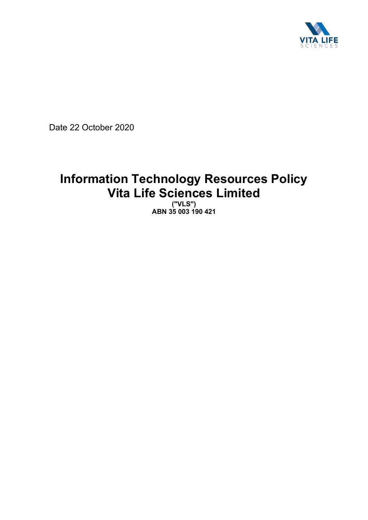

Date 22 October 2020

# **Information Technology Resources Policy Vita Life Sciences Limited**

**("VLS") ABN 35 003 190 421**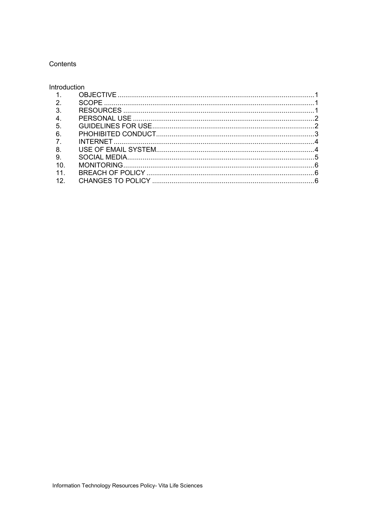## Contents

# Introduction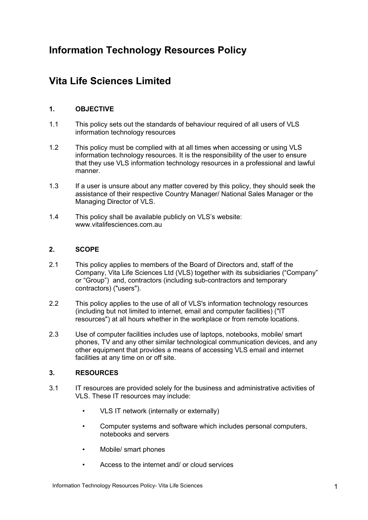# **Information Technology Resources Policy**

# **Vita Life Sciences Limited**

# **1. OBJECTIVE**

- 1.1 This policy sets out the standards of behaviour required of all users of VLS information technology resources
- 1.2 This policy must be complied with at all times when accessing or using VLS information technology resources. It is the responsibility of the user to ensure that they use VLS information technology resources in a professional and lawful manner.
- 1.3 If a user is unsure about any matter covered by this policy, they should seek the assistance of their respective Country Manager/ National Sales Manager or the Managing Director of VLS.
- 1.4 This policy shall be available publicly on VLS's website: www.vitalifesciences.com.au

## **2. SCOPE**

- 2.1 This policy applies to members of the Board of Directors and, staff of the Company, Vita Life Sciences Ltd (VLS) together with its subsidiaries ("Company" or "Group") and, contractors (including sub-contractors and temporary contractors) ("users").
- 2.2 This policy applies to the use of all of VLS's information technology resources (including but not limited to internet, email and computer facilities) ("IT resources") at all hours whether in the workplace or from remote locations.
- 2.3 Use of computer facilities includes use of laptops, notebooks, mobile/ smart phones, TV and any other similar technological communication devices, and any other equipment that provides a means of accessing VLS email and internet facilities at any time on or off site.

# **3. RESOURCES**

- 3.1 IT resources are provided solely for the business and administrative activities of VLS. These IT resources may include:
	- VLS IT network (internally or externally)
	- Computer systems and software which includes personal computers, notebooks and servers
	- Mobile/ smart phones
	- Access to the internet and/ or cloud services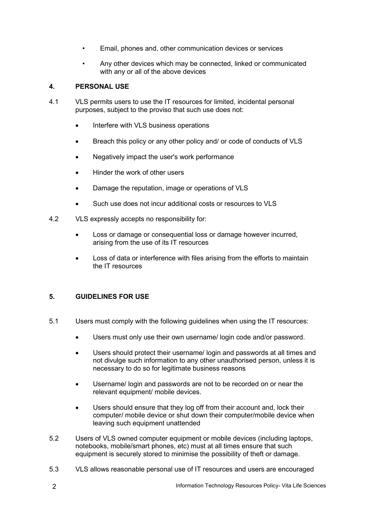- Email, phones and, other communication devices or services
- Any other devices which may be connected, linked or communicated with any or all of the above devices

# **4. PERSONAL USE**

- 4.1 VLS permits users to use the IT resources for limited, incidental personal purposes, subject to the proviso that such use does not:
	- Interfere with VLS business operations
	- Breach this policy or any other policy and/ or code of conducts of VLS
	- Negatively impact the user's work performance
	- Hinder the work of other users
	- Damage the reputation, image or operations of VLS
	- Such use does not incur additional costs or resources to VLS
- 4.2 VLS expressly accepts no responsibility for:
	- Loss or damage or consequential loss or damage however incurred, arising from the use of its IT resources
	- Loss of data or interference with files arising from the efforts to maintain the IT resources

# **5. GUIDELINES FOR USE**

- 5.1 Users must comply with the following guidelines when using the IT resources:
	- Users must only use their own username/ login code and/or password.
	- Users should protect their username/ login and passwords at all times and not divulge such information to any other unauthorised person, unless it is necessary to do so for legitimate business reasons
	- Username/ login and passwords are not to be recorded on or near the relevant equipment/ mobile devices.
	- Users should ensure that they log off from their account and, lock their computer/ mobile device or shut down their computer/mobile device when leaving such equipment unattended
- 5.2 Users of VLS owned computer equipment or mobile devices (including laptops, notebooks, mobile/smart phones, etc) must at all times ensure that such equipment is securely stored to minimise the possibility of theft or damage.
- 5.3 VLS allows reasonable personal use of IT resources and users are encouraged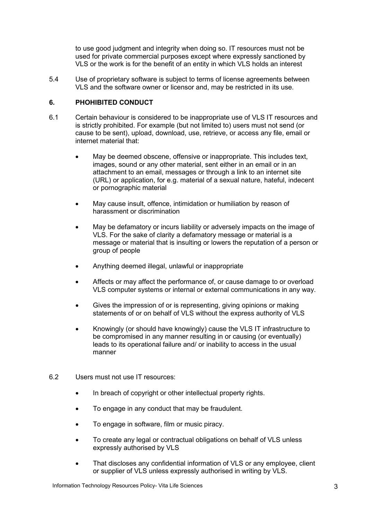to use good judgment and integrity when doing so. IT resources must not be used for private commercial purposes except where expressly sanctioned by VLS or the work is for the benefit of an entity in which VLS holds an interest

5.4 Use of proprietary software is subject to terms of license agreements between VLS and the software owner or licensor and, may be restricted in its use.

## **6. PHOHIBITED CONDUCT**

- 6.1 Certain behaviour is considered to be inappropriate use of VLS IT resources and is strictly prohibited. For example (but not limited to) users must not send (or cause to be sent), upload, download, use, retrieve, or access any file, email or internet material that:
	- May be deemed obscene, offensive or inappropriate. This includes text, images, sound or any other material, sent either in an email or in an attachment to an email, messages or through a link to an internet site (URL) or application, for e.g. material of a sexual nature, hateful, indecent or pornographic material
	- May cause insult, offence, intimidation or humiliation by reason of harassment or discrimination
	- May be defamatory or incurs liability or adversely impacts on the image of VLS. For the sake of clarity a defamatory message or material is a message or material that is insulting or lowers the reputation of a person or group of people
	- Anything deemed illegal, unlawful or inappropriate
	- Affects or may affect the performance of, or cause damage to or overload VLS computer systems or internal or external communications in any way.
	- Gives the impression of or is representing, giving opinions or making statements of or on behalf of VLS without the express authority of VLS
	- Knowingly (or should have knowingly) cause the VLS IT infrastructure to be compromised in any manner resulting in or causing (or eventually) leads to its operational failure and/ or inability to access in the usual manner
- 6.2 Users must not use IT resources:
	- In breach of copyright or other intellectual property rights.
	- To engage in any conduct that may be fraudulent.
	- To engage in software, film or music piracy.
	- To create any legal or contractual obligations on behalf of VLS unless expressly authorised by VLS
	- That discloses any confidential information of VLS or any employee, client or supplier of VLS unless expressly authorised in writing by VLS.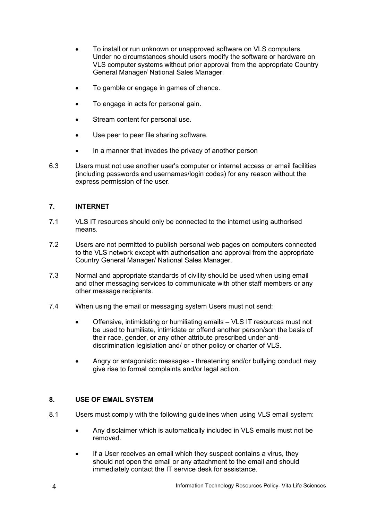- To install or run unknown or unapproved software on VLS computers. Under no circumstances should users modify the software or hardware on VLS computer systems without prior approval from the appropriate Country General Manager/ National Sales Manager.
- To gamble or engage in games of chance.
- To engage in acts for personal gain.
- Stream content for personal use.
- Use peer to peer file sharing software.
- In a manner that invades the privacy of another person
- 6.3 Users must not use another user's computer or internet access or email facilities (including passwords and usernames/login codes) for any reason without the express permission of the user.

# **7. INTERNET**

- 7.1 VLS IT resources should only be connected to the internet using authorised means.
- 7.2 Users are not permitted to publish personal web pages on computers connected to the VLS network except with authorisation and approval from the appropriate Country General Manager/ National Sales Manager.
- 7.3 Normal and appropriate standards of civility should be used when using email and other messaging services to communicate with other staff members or any other message recipients.
- 7.4 When using the email or messaging system Users must not send:
	- Offensive, intimidating or humiliating emails VLS IT resources must not be used to humiliate, intimidate or offend another person/son the basis of their race, gender, or any other attribute prescribed under antidiscrimination legislation and/ or other policy or charter of VLS.
	- Angry or antagonistic messages threatening and/or bullying conduct may give rise to formal complaints and/or legal action.

#### **8. USE OF EMAIL SYSTEM**

- 8.1 Users must comply with the following guidelines when using VLS email system:
	- Any disclaimer which is automatically included in VLS emails must not be removed.
	- If a User receives an email which they suspect contains a virus, they should not open the email or any attachment to the email and should immediately contact the IT service desk for assistance.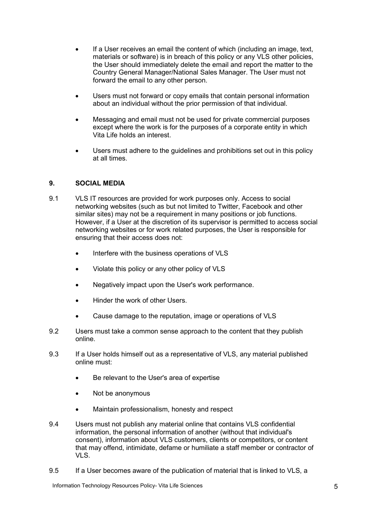- If a User receives an email the content of which (including an image, text, materials or software) is in breach of this policy or any VLS other policies, the User should immediately delete the email and report the matter to the Country General Manager/National Sales Manager. The User must not forward the email to any other person.
- Users must not forward or copy emails that contain personal information about an individual without the prior permission of that individual.
- Messaging and email must not be used for private commercial purposes except where the work is for the purposes of a corporate entity in which Vita Life holds an interest.
- Users must adhere to the quidelines and prohibitions set out in this policy at all times.

#### **9. SOCIAL MEDIA**

- 9.1 VLS IT resources are provided for work purposes only. Access to social networking websites (such as but not limited to Twitter, Facebook and other similar sites) may not be a requirement in many positions or job functions. However, if a User at the discretion of its supervisor is permitted to access social networking websites or for work related purposes, the User is responsible for ensuring that their access does not:
	- Interfere with the business operations of VLS
	- Violate this policy or any other policy of VLS
	- Negatively impact upon the User's work performance.
	- Hinder the work of other Users.
	- Cause damage to the reputation, image or operations of VLS
- 9.2 Users must take a common sense approach to the content that they publish online.
- 9.3 If a User holds himself out as a representative of VLS, any material published online must:
	- Be relevant to the User's area of expertise
	- Not be anonymous
	- Maintain professionalism, honesty and respect
- 9.4 Users must not publish any material online that contains VLS confidential information, the personal information of another (without that individual's consent), information about VLS customers, clients or competitors, or content that may offend, intimidate, defame or humiliate a staff member or contractor of VLS.
- 9.5 If a User becomes aware of the publication of material that is linked to VLS, a